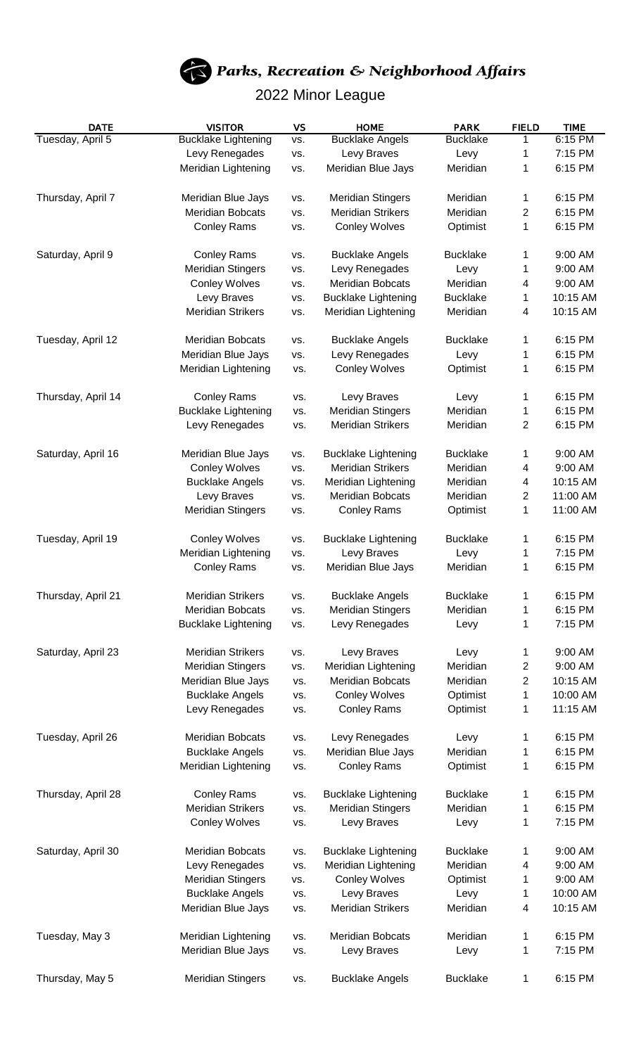

## 2022 Minor League

| <b>DATE</b>        | <b>VISITOR</b>             | <b>VS</b>  | <b>HOME</b>                | <b>PARK</b>     | <b>FIELD</b>        | <b>TIME</b> |
|--------------------|----------------------------|------------|----------------------------|-----------------|---------------------|-------------|
| Tuesday, April 5   | <b>Bucklake Lightening</b> | VS.        | <b>Bucklake Angels</b>     | <b>Bucklake</b> | 1                   | 6:15 PM     |
|                    | Levy Renegades             | VS.        | Levy Braves                | Levy            | 1                   | 7:15 PM     |
|                    | Meridian Lightening        | VS.        | Meridian Blue Jays         | Meridian        | 1                   | 6:15 PM     |
|                    |                            |            |                            |                 |                     |             |
| Thursday, April 7  | Meridian Blue Jays         | VS.        | <b>Meridian Stingers</b>   | Meridian        | 1                   | 6:15 PM     |
|                    | <b>Meridian Bobcats</b>    | VS.        | <b>Meridian Strikers</b>   | Meridian        | $\overline{2}$      | 6:15 PM     |
|                    | <b>Conley Rams</b>         | VS.        | <b>Conley Wolves</b>       | Optimist        | 1                   | 6:15 PM     |
| Saturday, April 9  |                            |            | <b>Bucklake Angels</b>     | <b>Bucklake</b> |                     | 9:00 AM     |
|                    | <b>Conley Rams</b>         | VS.        |                            |                 | 1                   | 9:00 AM     |
|                    | <b>Meridian Stingers</b>   | VS.        | Levy Renegades             | Levy            | 1                   |             |
|                    | <b>Conley Wolves</b>       | VS.        | <b>Meridian Bobcats</b>    | Meridian        | 4                   | 9:00 AM     |
|                    | Levy Braves                | VS.        | <b>Bucklake Lightening</b> | <b>Bucklake</b> | 1                   | 10:15 AM    |
|                    | <b>Meridian Strikers</b>   | VS.        | Meridian Lightening        | Meridian        | 4                   | 10:15 AM    |
| Tuesday, April 12  | <b>Meridian Bobcats</b>    | VS.        | <b>Bucklake Angels</b>     | <b>Bucklake</b> | 1                   | 6:15 PM     |
|                    | Meridian Blue Jays         | VS.        | Levy Renegades             | Levy            | 1                   | 6:15 PM     |
|                    | Meridian Lightening        | VS.        | <b>Conley Wolves</b>       | Optimist        | 1                   | 6:15 PM     |
|                    |                            |            |                            |                 |                     |             |
| Thursday, April 14 | <b>Conley Rams</b>         | VS.        | Levy Braves                | Levy            | 1                   | 6:15 PM     |
|                    | <b>Bucklake Lightening</b> | VS.        | <b>Meridian Stingers</b>   | Meridian        | 1                   | 6:15 PM     |
|                    | Levy Renegades             | VS.        | <b>Meridian Strikers</b>   | Meridian        | $\overline{2}$      | 6:15 PM     |
| Saturday, April 16 | Meridian Blue Jays         | VS.        | <b>Bucklake Lightening</b> | <b>Bucklake</b> | 1                   | 9:00 AM     |
|                    | <b>Conley Wolves</b>       | VS.        | <b>Meridian Strikers</b>   | Meridian        | 4                   | 9:00 AM     |
|                    | <b>Bucklake Angels</b>     |            | Meridian Lightening        | Meridian        |                     | 10:15 AM    |
|                    | Levy Braves                | VS.<br>VS. | <b>Meridian Bobcats</b>    | Meridian        | 4<br>$\overline{2}$ | 11:00 AM    |
|                    |                            |            |                            |                 |                     | 11:00 AM    |
|                    | <b>Meridian Stingers</b>   | VS.        | <b>Conley Rams</b>         | Optimist        | 1                   |             |
| Tuesday, April 19  | <b>Conley Wolves</b>       | VS.        | <b>Bucklake Lightening</b> | <b>Bucklake</b> | 1                   | 6:15 PM     |
|                    | Meridian Lightening        | VS.        | Levy Braves                | Levy            | 1                   | 7:15 PM     |
|                    | <b>Conley Rams</b>         | VS.        | Meridian Blue Jays         | Meridian        | 1                   | 6:15 PM     |
|                    |                            |            |                            |                 |                     |             |
| Thursday, April 21 | <b>Meridian Strikers</b>   | VS.        | <b>Bucklake Angels</b>     | <b>Bucklake</b> | 1                   | 6:15 PM     |
|                    | <b>Meridian Bobcats</b>    | VS.        | <b>Meridian Stingers</b>   | Meridian        | 1                   | 6:15 PM     |
|                    | <b>Bucklake Lightening</b> | VS.        | Levy Renegades             | Levy            | 1                   | 7:15 PM     |
| Saturday, April 23 | <b>Meridian Strikers</b>   | VS.        | Levy Braves                | Levy            | 1                   | 9:00 AM     |
|                    | <b>Meridian Stingers</b>   | VS.        | Meridian Lightening        | Meridian        | 2                   | 9:00 AM     |
|                    | Meridian Blue Jays         | VS.        | <b>Meridian Bobcats</b>    | Meridian        | 2                   | 10:15 AM    |
|                    | <b>Bucklake Angels</b>     | VS.        | <b>Conley Wolves</b>       | Optimist        | 1                   | 10:00 AM    |
|                    | Levy Renegades             | VS.        | <b>Conley Rams</b>         | Optimist        | 1                   | 11:15 AM    |
|                    |                            |            |                            |                 |                     |             |
| Tuesday, April 26  | <b>Meridian Bobcats</b>    | VS.        | Levy Renegades             | Levy            | 1                   | 6:15 PM     |
|                    | <b>Bucklake Angels</b>     | VS.        | Meridian Blue Jays         | Meridian        | 1                   | 6:15 PM     |
|                    | Meridian Lightening        | VS.        | <b>Conley Rams</b>         | Optimist        | 1                   | 6:15 PM     |
| Thursday, April 28 | <b>Conley Rams</b>         | VS.        | <b>Bucklake Lightening</b> | <b>Bucklake</b> | 1                   | 6:15 PM     |
|                    | <b>Meridian Strikers</b>   | VS.        | <b>Meridian Stingers</b>   | Meridian        | 1                   | 6:15 PM     |
|                    | <b>Conley Wolves</b>       | VS.        | Levy Braves                | Levy            | 1                   | 7:15 PM     |
|                    |                            |            |                            |                 |                     |             |
| Saturday, April 30 | <b>Meridian Bobcats</b>    | VS.        | <b>Bucklake Lightening</b> | <b>Bucklake</b> | 1                   | 9:00 AM     |
|                    | Levy Renegades             | VS.        | Meridian Lightening        | Meridian        | 4                   | 9:00 AM     |
|                    | <b>Meridian Stingers</b>   | VS.        | <b>Conley Wolves</b>       | Optimist        | 1                   | 9:00 AM     |
|                    | <b>Bucklake Angels</b>     | VS.        | Levy Braves                | Levy            | 1                   | 10:00 AM    |
|                    | Meridian Blue Jays         | VS.        | <b>Meridian Strikers</b>   | Meridian        | 4                   | 10:15 AM    |
|                    |                            |            |                            |                 |                     |             |
| Tuesday, May 3     | Meridian Lightening        | VS.        | <b>Meridian Bobcats</b>    | Meridian        | 1                   | 6:15 PM     |
|                    | Meridian Blue Jays         | VS.        | Levy Braves                | Levy            | 1                   | 7:15 PM     |
| Thursday, May 5    | <b>Meridian Stingers</b>   | VS.        | <b>Bucklake Angels</b>     | <b>Bucklake</b> | 1                   | 6:15 PM     |
|                    |                            |            |                            |                 |                     |             |